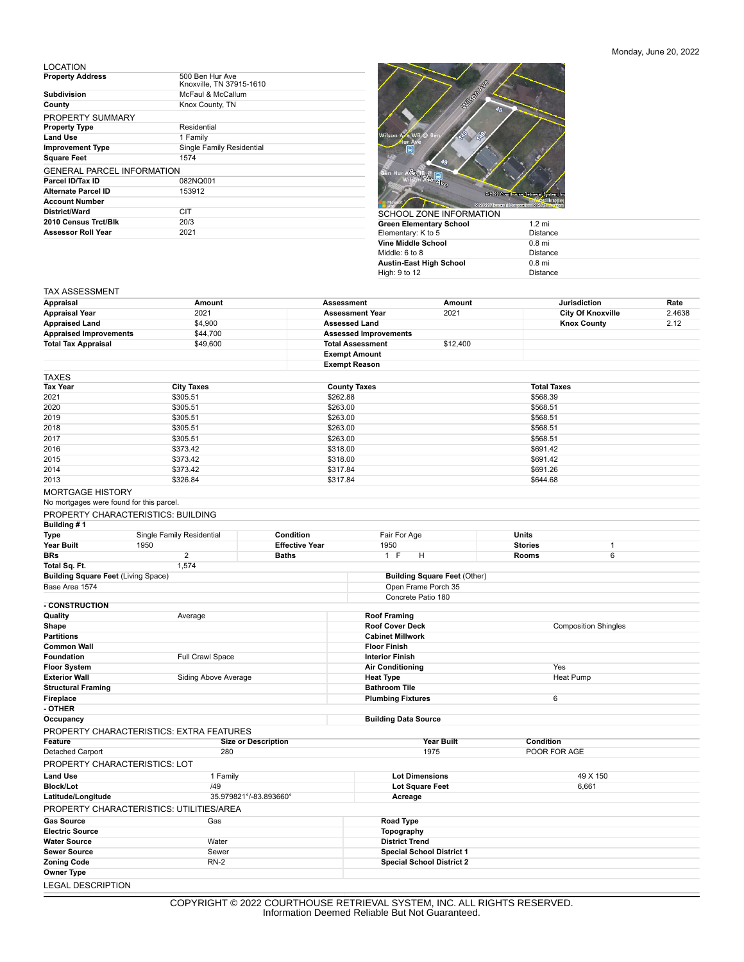## Monday, June 20, 2022

LOCATION

| <b>Property Address</b>           | 500 Ben Hur Ave<br>Knoxville, TN 37915-1610 |
|-----------------------------------|---------------------------------------------|
| <b>Subdivision</b>                | McFaul & McCallum                           |
| County                            | Knox County, TN                             |
| PROPERTY SUMMARY                  |                                             |
| <b>Property Type</b>              | Residential                                 |
| <b>Land Use</b>                   | 1 Family                                    |
| <b>Improvement Type</b>           | Single Family Residential                   |
| <b>Square Feet</b>                | 1574                                        |
| <b>GENERAL PARCEL INFORMATION</b> |                                             |
| Parcel ID/Tax ID                  | 082NQ001                                    |
| Alternate Parcel ID               | 153912                                      |
| <b>Account Number</b>             |                                             |
| District/Ward                     | CIT                                         |
| 2010 Census Trct/Blk              | 20/3                                        |
| <b>Assessor Roll Year</b>         | 2021                                        |



| Green Elementary School | $1.2 \text{ mi}$ |
|-------------------------|------------------|
| Elementary: K to 5      | <b>Distance</b>  |
| Vine Middle School      | $0.8$ mi         |
| Middle: 6 to 8          | <b>Distance</b>  |
| Austin-East High School | $0.8$ mi         |
| High: 9 to 12           | <b>Distance</b>  |

## TAX ASSESSMENT

| Appraisal                                   | Amount                                          |                            | <b>Assessment</b>                   | Amount                                                                       |                    | Jurisdiction             | Rate   |  |
|---------------------------------------------|-------------------------------------------------|----------------------------|-------------------------------------|------------------------------------------------------------------------------|--------------------|--------------------------|--------|--|
| <b>Appraisal Year</b>                       | 2021                                            |                            | <b>Assessment Year</b>              | 2021                                                                         |                    | <b>City Of Knoxville</b> | 2.4638 |  |
| <b>Appraised Land</b>                       | \$4,900                                         |                            | <b>Assessed Land</b>                |                                                                              |                    | <b>Knox County</b>       | 2.12   |  |
| <b>Appraised Improvements</b>               | \$44,700                                        |                            | <b>Assessed Improvements</b>        |                                                                              |                    |                          |        |  |
| <b>Total Tax Appraisal</b>                  | \$49,600                                        |                            | <b>Total Assessment</b>             | \$12,400                                                                     |                    |                          |        |  |
|                                             |                                                 |                            | <b>Exempt Amount</b>                |                                                                              |                    |                          |        |  |
|                                             |                                                 |                            | <b>Exempt Reason</b>                |                                                                              |                    |                          |        |  |
| TAXES                                       |                                                 |                            |                                     |                                                                              |                    |                          |        |  |
| Tax Year                                    | <b>City Taxes</b>                               |                            | <b>County Taxes</b>                 |                                                                              | <b>Total Taxes</b> |                          |        |  |
| 2021                                        | \$305.51                                        | \$262.88                   |                                     |                                                                              | \$568.39           |                          |        |  |
| 2020                                        | \$305.51                                        |                            |                                     | \$263.00                                                                     |                    | \$568.51                 |        |  |
| 2019                                        |                                                 | \$305.51                   |                                     | \$263.00                                                                     |                    | \$568.51                 |        |  |
| 2018                                        | \$305.51                                        |                            |                                     | \$263.00                                                                     |                    | \$568.51                 |        |  |
| 2017                                        | \$305.51                                        |                            | \$263.00                            |                                                                              | \$568.51           |                          |        |  |
| 2016                                        |                                                 | \$373.42<br>\$318.00       |                                     |                                                                              | \$691.42           |                          |        |  |
| 2015                                        | \$373.42                                        |                            | \$318.00                            | \$691.42                                                                     |                    |                          |        |  |
| 2014                                        | \$373.42                                        |                            | \$317.84                            |                                                                              | \$691.26           |                          |        |  |
| 2013                                        | \$326.84                                        |                            | \$317.84                            |                                                                              | \$644.68           |                          |        |  |
| <b>MORTGAGE HISTORY</b>                     |                                                 |                            |                                     |                                                                              |                    |                          |        |  |
|                                             | No mortgages were found for this parcel.        |                            |                                     |                                                                              |                    |                          |        |  |
|                                             | PROPERTY CHARACTERISTICS: BUILDING              |                            |                                     |                                                                              |                    |                          |        |  |
| Building #1                                 |                                                 |                            |                                     |                                                                              |                    |                          |        |  |
| <b>Type</b>                                 | Single Family Residential                       | Condition                  | Fair For Age                        |                                                                              | Units              |                          |        |  |
| Year Built                                  | 1950                                            | <b>Effective Year</b>      | 1950                                |                                                                              | <b>Stories</b>     | 1                        |        |  |
| <b>BRs</b>                                  | $\overline{2}$                                  | <b>Baths</b>               | 1 F<br>н                            |                                                                              | Rooms              | 6                        |        |  |
| Total Sq. Ft.                               | 1,574                                           |                            |                                     |                                                                              |                    |                          |        |  |
| <b>Building Square Feet (Living Space)</b>  |                                                 |                            |                                     | <b>Building Square Feet (Other)</b>                                          |                    |                          |        |  |
| Base Area 1574                              |                                                 |                            | Open Frame Porch 35                 |                                                                              |                    |                          |        |  |
| <b>- CONSTRUCTION</b>                       |                                                 |                            | Concrete Patio 180                  |                                                                              |                    |                          |        |  |
|                                             |                                                 |                            |                                     |                                                                              |                    |                          |        |  |
| Shape                                       | Quality<br>Average                              |                            |                                     | <b>Roof Framing</b><br><b>Roof Cover Deck</b><br><b>Composition Shingles</b> |                    |                          |        |  |
| <b>Partitions</b>                           |                                                 |                            | <b>Cabinet Millwork</b>             |                                                                              |                    |                          |        |  |
| <b>Common Wall</b>                          |                                                 |                            | <b>Floor Finish</b>                 |                                                                              |                    |                          |        |  |
| Foundation                                  | Full Crawl Space                                |                            | <b>Interior Finish</b>              |                                                                              |                    |                          |        |  |
| <b>Floor System</b>                         |                                                 |                            | <b>Air Conditioning</b>             |                                                                              | Yes                |                          |        |  |
| <b>Exterior Wall</b>                        | Siding Above Average                            |                            | <b>Heat Type</b>                    |                                                                              | Heat Pump          |                          |        |  |
| <b>Structural Framing</b>                   |                                                 |                            | <b>Bathroom Tile</b>                |                                                                              |                    |                          |        |  |
| Fireplace                                   |                                                 |                            | <b>Plumbing Fixtures</b>            |                                                                              | 6                  |                          |        |  |
| - OTHER                                     |                                                 |                            |                                     |                                                                              |                    |                          |        |  |
| Occupancy                                   |                                                 |                            | <b>Building Data Source</b>         |                                                                              |                    |                          |        |  |
|                                             | <b>PROPERTY CHARACTERISTICS: EXTRA FEATURES</b> |                            |                                     |                                                                              |                    |                          |        |  |
| Feature                                     |                                                 | <b>Size or Description</b> |                                     | Year Built                                                                   | Condition          |                          |        |  |
| Detached Carport                            | 280                                             |                            | 1975                                |                                                                              | POOR FOR AGE       |                          |        |  |
|                                             | PROPERTY CHARACTERISTICS: LOT                   |                            |                                     |                                                                              |                    |                          |        |  |
| <b>Land Use</b>                             | 1 Family                                        |                            | <b>Lot Dimensions</b>               |                                                                              |                    | 49 X 150                 |        |  |
| <b>Block/Lot</b>                            | /49                                             |                            | Lot Square Feet                     |                                                                              |                    | 6,661                    |        |  |
| Latitude/Longitude                          | 35.979821°/-83.893660°                          |                            | Acreage                             |                                                                              |                    |                          |        |  |
|                                             | PROPERTY CHARACTERISTICS: UTILITIES/AREA        |                            |                                     |                                                                              |                    |                          |        |  |
|                                             |                                                 |                            |                                     |                                                                              |                    |                          |        |  |
| <b>Gas Source</b><br><b>Electric Source</b> | Gas                                             |                            | Road Type                           |                                                                              |                    |                          |        |  |
| <b>Water Source</b>                         | Water                                           |                            | Topography<br><b>District Trend</b> |                                                                              |                    |                          |        |  |
| <b>Sewer Source</b>                         | Sewer                                           |                            | <b>Special School District 1</b>    |                                                                              |                    |                          |        |  |
| <b>Zoning Code</b>                          | $RN-2$                                          |                            | <b>Special School District 2</b>    |                                                                              |                    |                          |        |  |
| Owner Type                                  |                                                 |                            |                                     |                                                                              |                    |                          |        |  |
| <b>LEGAL DESCRIPTION</b>                    |                                                 |                            |                                     |                                                                              |                    |                          |        |  |
|                                             |                                                 |                            |                                     |                                                                              |                    |                          |        |  |